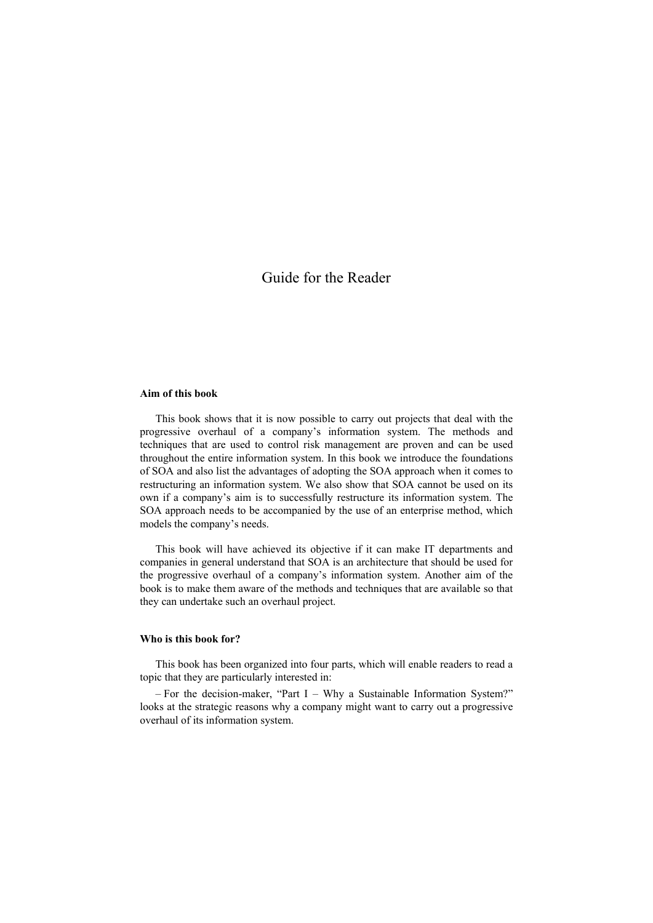# Guide for the Reader

### **Aim of this book**

This book shows that it is now possible to carry out projects that deal with the progressive overhaul of a company's information system. The methods and techniques that are used to control risk management are proven and can be used throughout the entire information system. In this book we introduce the foundations of SOA and also list the advantages of adopting the SOA approach when it comes to restructuring an information system. We also show that SOA cannot be used on its own if a company's aim is to successfully restructure its information system. The SOA approach needs to be accompanied by the use of an enterprise method, which models the company's needs.

This book will have achieved its objective if it can make IT departments and companies in general understand that SOA is an architecture that should be used for the progressive overhaul of a company's information system. Another aim of the book is to make them aware of the methods and techniques that are available so that they can undertake such an overhaul project.

### **Who is this book for?**

This book has been organized into four parts, which will enable readers to read a topic that they are particularly interested in:

– For the decision-maker, "Part I – Why a Sustainable Information System?" looks at the strategic reasons why a company might want to carry out a progressive overhaul of its information system.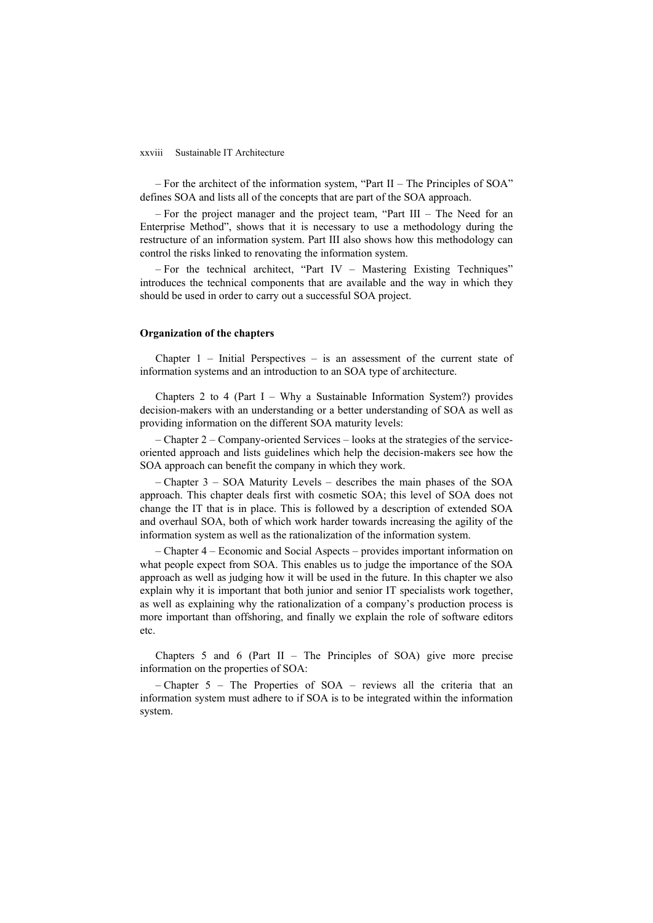### xxviii Sustainable IT Architecture

– For the architect of the information system, "Part II – The Principles of SOA" defines SOA and lists all of the concepts that are part of the SOA approach.

– For the project manager and the project team, "Part III – The Need for an Enterprise Method", shows that it is necessary to use a methodology during the restructure of an information system. Part III also shows how this methodology can control the risks linked to renovating the information system.

– For the technical architect, "Part IV – Mastering Existing Techniques" introduces the technical components that are available and the way in which they should be used in order to carry out a successful SOA project.

### **Organization of the chapters**

Chapter  $1$  – Initial Perspectives – is an assessment of the current state of information systems and an introduction to an SOA type of architecture.

Chapters 2 to 4 (Part I – Why a Sustainable Information System?) provides decision-makers with an understanding or a better understanding of SOA as well as providing information on the different SOA maturity levels:

– Chapter 2 – Company-oriented Services – looks at the strategies of the serviceoriented approach and lists guidelines which help the decision-makers see how the SOA approach can benefit the company in which they work.

– Chapter 3 – SOA Maturity Levels – describes the main phases of the SOA approach. This chapter deals first with cosmetic SOA; this level of SOA does not change the IT that is in place. This is followed by a description of extended SOA and overhaul SOA, both of which work harder towards increasing the agility of the information system as well as the rationalization of the information system.

– Chapter 4 – Economic and Social Aspects – provides important information on what people expect from SOA. This enables us to judge the importance of the SOA approach as well as judging how it will be used in the future. In this chapter we also explain why it is important that both junior and senior IT specialists work together, as well as explaining why the rationalization of a company's production process is more important than offshoring, and finally we explain the role of software editors etc.

Chapters 5 and 6 (Part II – The Principles of SOA) give more precise information on the properties of SOA:

– Chapter 5 – The Properties of SOA – reviews all the criteria that an information system must adhere to if SOA is to be integrated within the information system.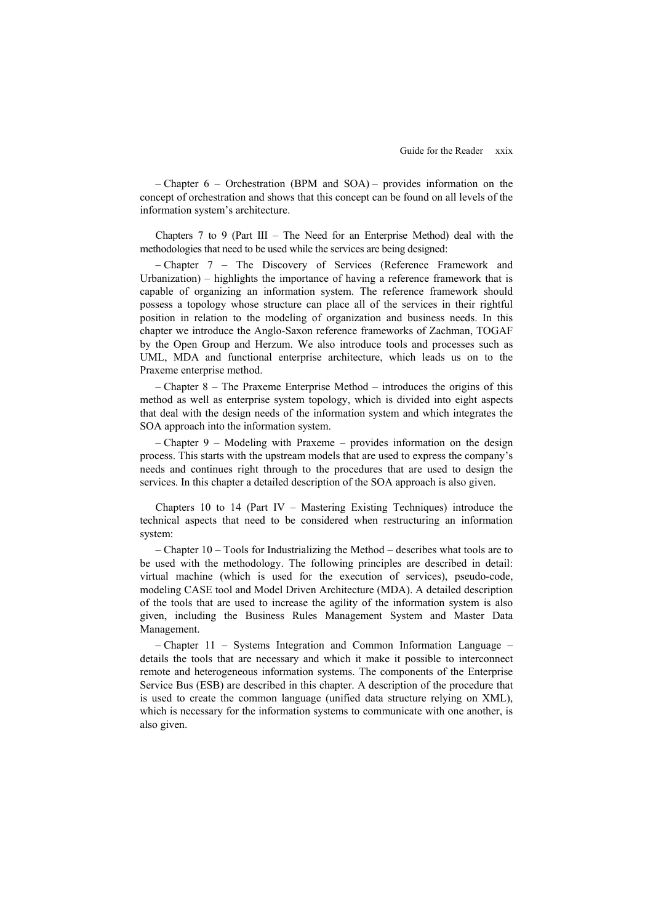– Chapter 6 – Orchestration (BPM and SOA) – provides information on the concept of orchestration and shows that this concept can be found on all levels of the information system's architecture.

Chapters 7 to 9 (Part III – The Need for an Enterprise Method) deal with the methodologies that need to be used while the services are being designed:

– Chapter 7 – The Discovery of Services (Reference Framework and Urbanization) – highlights the importance of having a reference framework that is capable of organizing an information system. The reference framework should possess a topology whose structure can place all of the services in their rightful position in relation to the modeling of organization and business needs. In this chapter we introduce the Anglo-Saxon reference frameworks of Zachman, TOGAF by the Open Group and Herzum. We also introduce tools and processes such as UML, MDA and functional enterprise architecture, which leads us on to the Praxeme enterprise method.

– Chapter 8 – The Praxeme Enterprise Method – introduces the origins of this method as well as enterprise system topology, which is divided into eight aspects that deal with the design needs of the information system and which integrates the SOA approach into the information system.

– Chapter 9 – Modeling with Praxeme – provides information on the design process. This starts with the upstream models that are used to express the company's needs and continues right through to the procedures that are used to design the services. In this chapter a detailed description of the SOA approach is also given.

Chapters 10 to 14 (Part IV – Mastering Existing Techniques) introduce the technical aspects that need to be considered when restructuring an information system:

– Chapter 10 – Tools for Industrializing the Method – describes what tools are to be used with the methodology. The following principles are described in detail: virtual machine (which is used for the execution of services), pseudo-code, modeling CASE tool and Model Driven Architecture (MDA). A detailed description of the tools that are used to increase the agility of the information system is also given, including the Business Rules Management System and Master Data Management.

– Chapter 11 – Systems Integration and Common Information Language – details the tools that are necessary and which it make it possible to interconnect remote and heterogeneous information systems. The components of the Enterprise Service Bus (ESB) are described in this chapter. A description of the procedure that is used to create the common language (unified data structure relying on XML), which is necessary for the information systems to communicate with one another, is also given.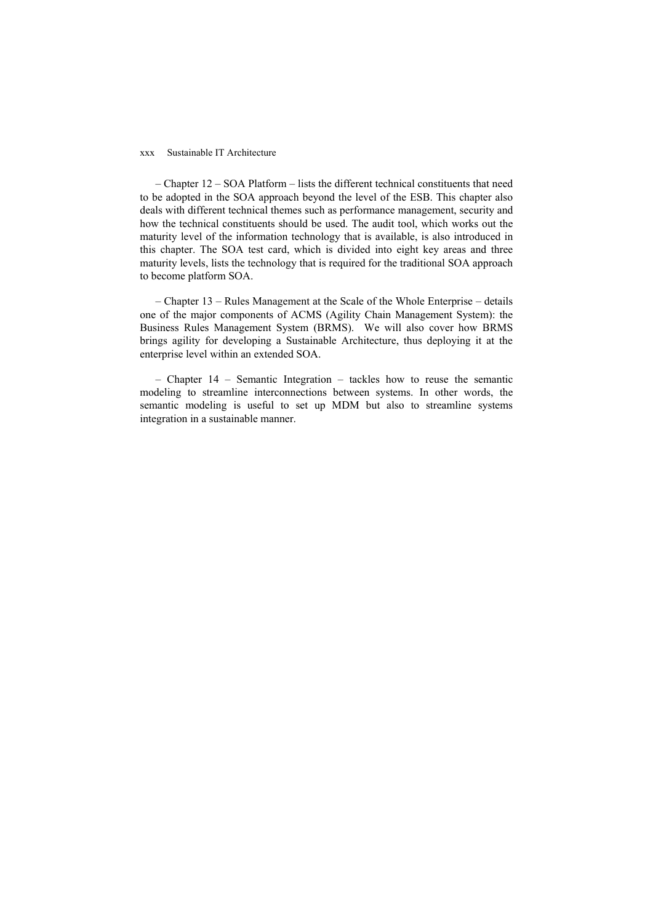# xxx Sustainable IT Architecture

– Chapter 12 – SOA Platform – lists the different technical constituents that need to be adopted in the SOA approach beyond the level of the ESB. This chapter also deals with different technical themes such as performance management, security and how the technical constituents should be used. The audit tool, which works out the maturity level of the information technology that is available, is also introduced in this chapter. The SOA test card, which is divided into eight key areas and three maturity levels, lists the technology that is required for the traditional SOA approach to become platform SOA.

– Chapter 13 – Rules Management at the Scale of the Whole Enterprise – details one of the major components of ACMS (Agility Chain Management System): the Business Rules Management System (BRMS). We will also cover how BRMS brings agility for developing a Sustainable Architecture, thus deploying it at the enterprise level within an extended SOA.

– Chapter 14 – Semantic Integration – tackles how to reuse the semantic modeling to streamline interconnections between systems. In other words, the semantic modeling is useful to set up MDM but also to streamline systems integration in a sustainable manner.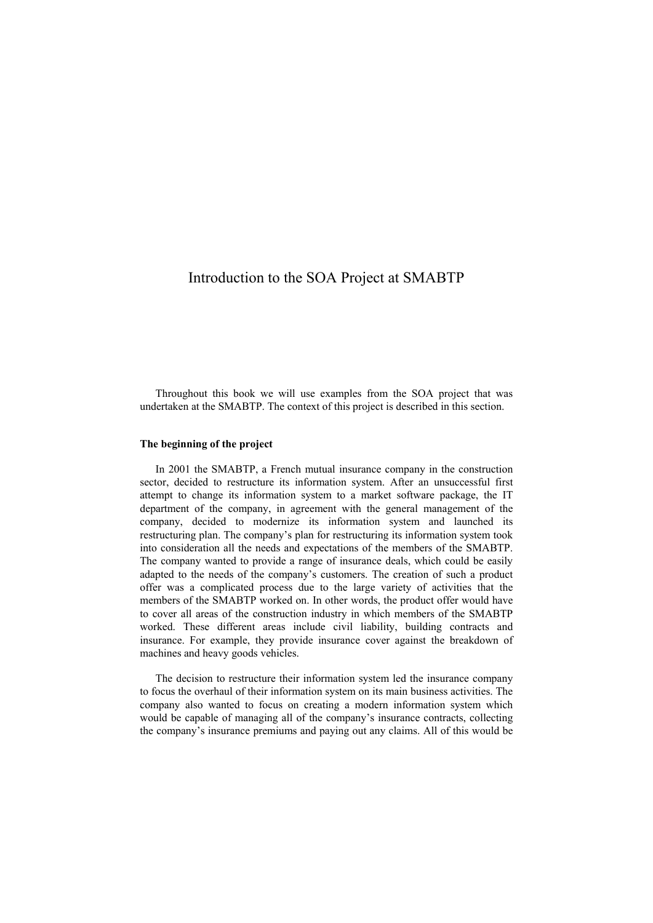# Introduction to the SOA Project at SMABTP

Throughout this book we will use examples from the SOA project that was undertaken at the SMABTP. The context of this project is described in this section.

### **The beginning of the project**

In 2001 the SMABTP, a French mutual insurance company in the construction sector, decided to restructure its information system. After an unsuccessful first attempt to change its information system to a market software package, the IT department of the company, in agreement with the general management of the company, decided to modernize its information system and launched its restructuring plan. The company's plan for restructuring its information system took into consideration all the needs and expectations of the members of the SMABTP. The company wanted to provide a range of insurance deals, which could be easily adapted to the needs of the company's customers. The creation of such a product offer was a complicated process due to the large variety of activities that the members of the SMABTP worked on. In other words, the product offer would have to cover all areas of the construction industry in which members of the SMABTP worked. These different areas include civil liability, building contracts and insurance. For example, they provide insurance cover against the breakdown of machines and heavy goods vehicles.

The decision to restructure their information system led the insurance company to focus the overhaul of their information system on its main business activities. The company also wanted to focus on creating a modern information system which would be capable of managing all of the company's insurance contracts, collecting the company's insurance premiums and paying out any claims. All of this would be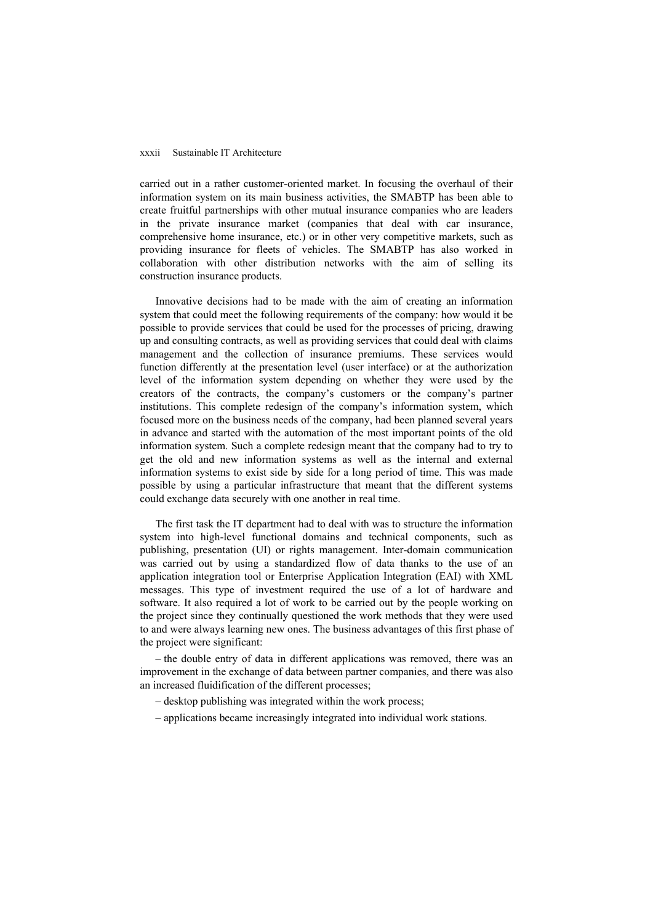### xxxii Sustainable IT Architecture

carried out in a rather customer-oriented market. In focusing the overhaul of their information system on its main business activities, the SMABTP has been able to create fruitful partnerships with other mutual insurance companies who are leaders in the private insurance market (companies that deal with car insurance, comprehensive home insurance, etc.) or in other very competitive markets, such as providing insurance for fleets of vehicles. The SMABTP has also worked in collaboration with other distribution networks with the aim of selling its construction insurance products.

Innovative decisions had to be made with the aim of creating an information system that could meet the following requirements of the company: how would it be possible to provide services that could be used for the processes of pricing, drawing up and consulting contracts, as well as providing services that could deal with claims management and the collection of insurance premiums. These services would function differently at the presentation level (user interface) or at the authorization level of the information system depending on whether they were used by the creators of the contracts, the company's customers or the company's partner institutions. This complete redesign of the company's information system, which focused more on the business needs of the company, had been planned several years in advance and started with the automation of the most important points of the old information system. Such a complete redesign meant that the company had to try to get the old and new information systems as well as the internal and external information systems to exist side by side for a long period of time. This was made possible by using a particular infrastructure that meant that the different systems could exchange data securely with one another in real time.

The first task the IT department had to deal with was to structure the information system into high-level functional domains and technical components, such as publishing, presentation (UI) or rights management. Inter-domain communication was carried out by using a standardized flow of data thanks to the use of an application integration tool or Enterprise Application Integration (EAI) with XML messages. This type of investment required the use of a lot of hardware and software. It also required a lot of work to be carried out by the people working on the project since they continually questioned the work methods that they were used to and were always learning new ones. The business advantages of this first phase of the project were significant:

– the double entry of data in different applications was removed, there was an improvement in the exchange of data between partner companies, and there was also an increased fluidification of the different processes;

- desktop publishing was integrated within the work process;
- applications became increasingly integrated into individual work stations.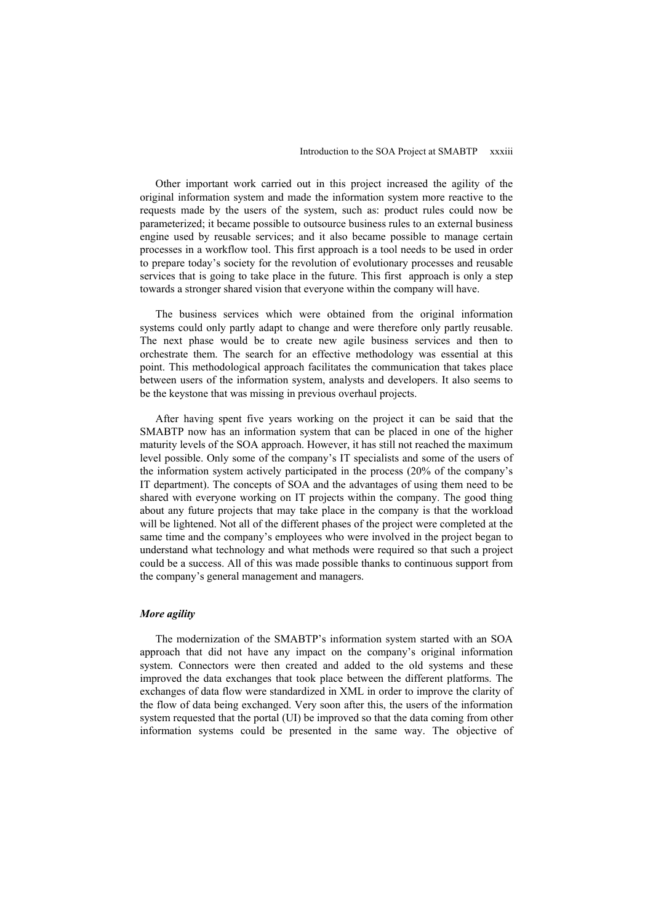Other important work carried out in this project increased the agility of the original information system and made the information system more reactive to the requests made by the users of the system, such as: product rules could now be parameterized; it became possible to outsource business rules to an external business engine used by reusable services; and it also became possible to manage certain processes in a workflow tool. This first approach is a tool needs to be used in order to prepare today's society for the revolution of evolutionary processes and reusable services that is going to take place in the future. This first approach is only a step towards a stronger shared vision that everyone within the company will have.

The business services which were obtained from the original information systems could only partly adapt to change and were therefore only partly reusable. The next phase would be to create new agile business services and then to orchestrate them. The search for an effective methodology was essential at this point. This methodological approach facilitates the communication that takes place between users of the information system, analysts and developers. It also seems to be the keystone that was missing in previous overhaul projects.

After having spent five years working on the project it can be said that the SMABTP now has an information system that can be placed in one of the higher maturity levels of the SOA approach. However, it has still not reached the maximum level possible. Only some of the company's IT specialists and some of the users of the information system actively participated in the process (20% of the company's IT department). The concepts of SOA and the advantages of using them need to be shared with everyone working on IT projects within the company. The good thing about any future projects that may take place in the company is that the workload will be lightened. Not all of the different phases of the project were completed at the same time and the company's employees who were involved in the project began to understand what technology and what methods were required so that such a project could be a success. All of this was made possible thanks to continuous support from the company's general management and managers.

### *More agility*

The modernization of the SMABTP's information system started with an SOA approach that did not have any impact on the company's original information system. Connectors were then created and added to the old systems and these improved the data exchanges that took place between the different platforms. The exchanges of data flow were standardized in XML in order to improve the clarity of the flow of data being exchanged. Very soon after this, the users of the information system requested that the portal (UI) be improved so that the data coming from other information systems could be presented in the same way. The objective of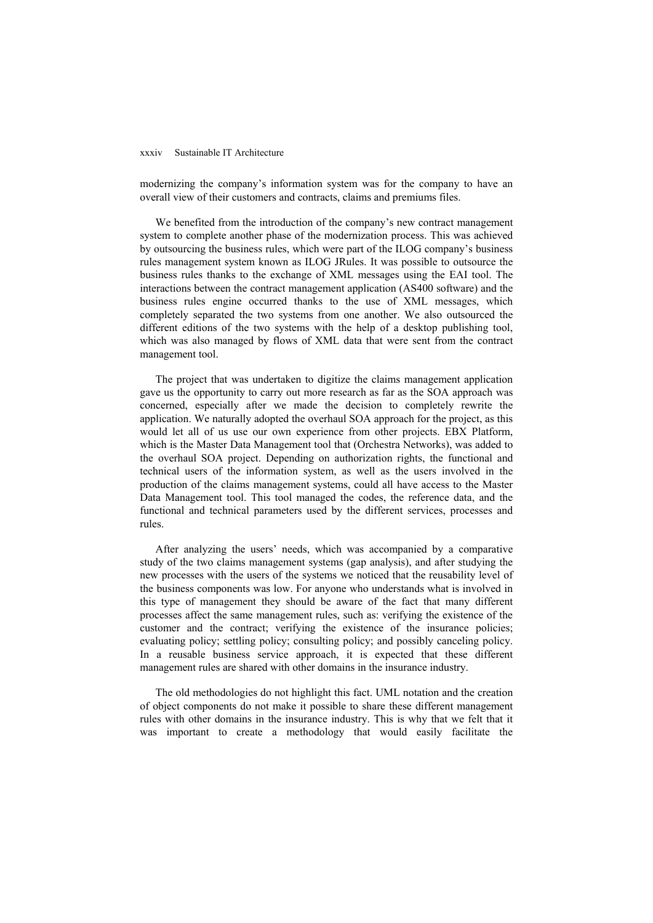# xxxiv Sustainable IT Architecture

modernizing the company's information system was for the company to have an overall view of their customers and contracts, claims and premiums files.

We benefited from the introduction of the company's new contract management system to complete another phase of the modernization process. This was achieved by outsourcing the business rules, which were part of the ILOG company's business rules management system known as ILOG JRules. It was possible to outsource the business rules thanks to the exchange of XML messages using the EAI tool. The interactions between the contract management application (AS400 software) and the business rules engine occurred thanks to the use of XML messages, which completely separated the two systems from one another. We also outsourced the different editions of the two systems with the help of a desktop publishing tool, which was also managed by flows of XML data that were sent from the contract management tool.

The project that was undertaken to digitize the claims management application gave us the opportunity to carry out more research as far as the SOA approach was concerned, especially after we made the decision to completely rewrite the application. We naturally adopted the overhaul SOA approach for the project, as this would let all of us use our own experience from other projects. EBX Platform, which is the Master Data Management tool that (Orchestra Networks), was added to the overhaul SOA project. Depending on authorization rights, the functional and technical users of the information system, as well as the users involved in the production of the claims management systems, could all have access to the Master Data Management tool. This tool managed the codes, the reference data, and the functional and technical parameters used by the different services, processes and rules.

After analyzing the users' needs, which was accompanied by a comparative study of the two claims management systems (gap analysis), and after studying the new processes with the users of the systems we noticed that the reusability level of the business components was low. For anyone who understands what is involved in this type of management they should be aware of the fact that many different processes affect the same management rules, such as: verifying the existence of the customer and the contract; verifying the existence of the insurance policies; evaluating policy; settling policy; consulting policy; and possibly canceling policy. In a reusable business service approach, it is expected that these different management rules are shared with other domains in the insurance industry.

The old methodologies do not highlight this fact. UML notation and the creation of object components do not make it possible to share these different management rules with other domains in the insurance industry. This is why that we felt that it was important to create a methodology that would easily facilitate the